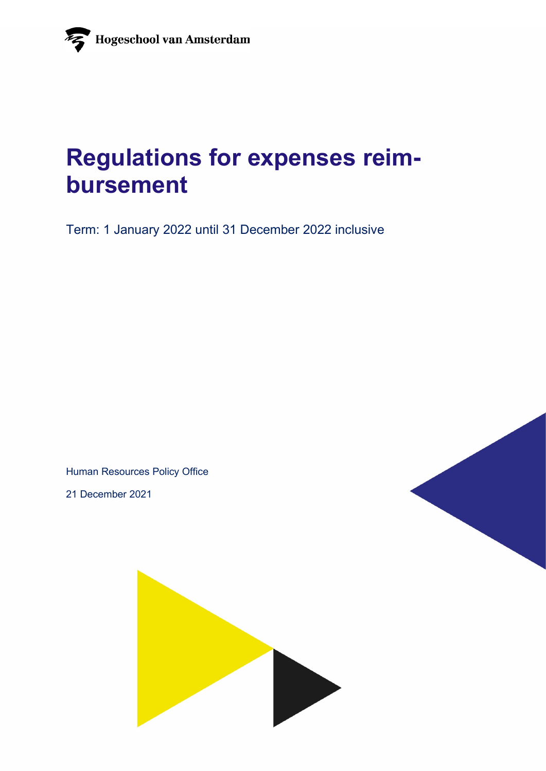# **Regulations for expenses reimbursement**

Term: 1 January 2022 until 31 December 2022 inclusive

Human Resources Policy Office

21 December 2021

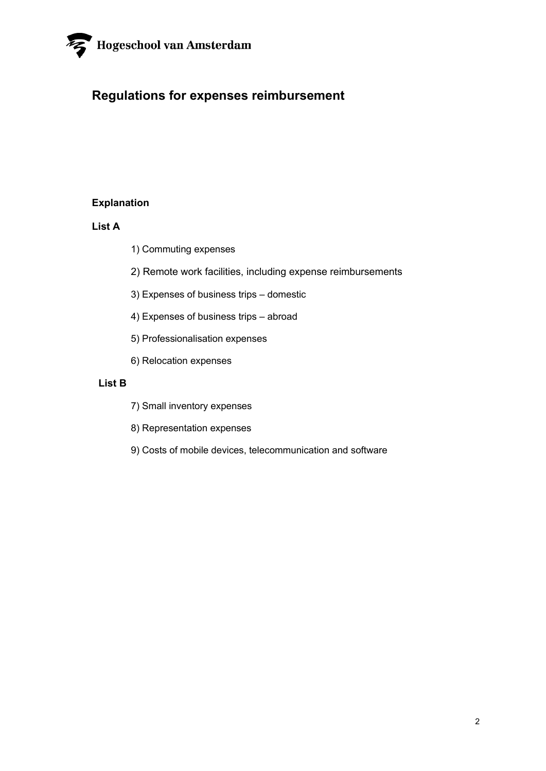

### **Regulations for expenses reimbursement**

#### **Explanation**

#### **List A**

- 1) Commuting expenses
- 2) Remote work facilities, including expense reimbursements
- 3) Expenses of business trips domestic
- 4) Expenses of business trips abroad
- 5) Professionalisation expenses
- 6) Relocation expenses

#### **List B**

- 7) Small inventory expenses
- 8) Representation expenses
- 9) Costs of mobile devices, telecommunication and software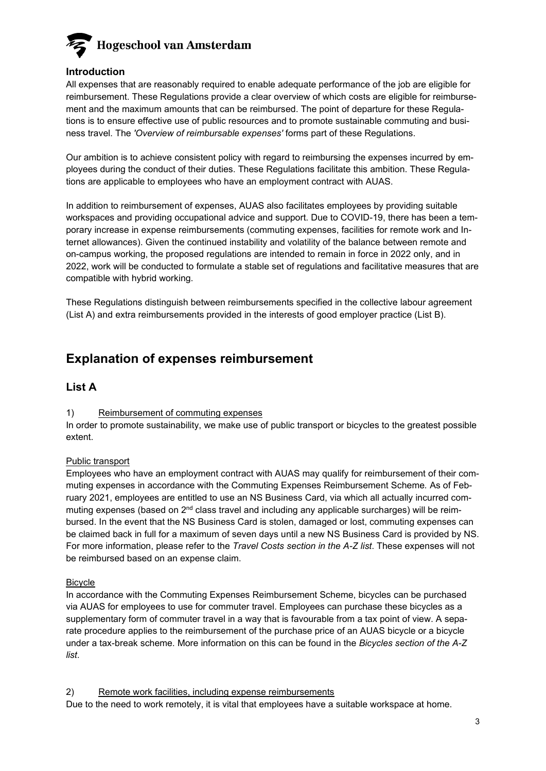

#### **Introduction**

All expenses that are reasonably required to enable adequate performance of the job are eligible for reimbursement. These Regulations provide a clear overview of which costs are eligible for reimbursement and the maximum amounts that can be reimbursed. The point of departure for these Regulations is to ensure effective use of public resources and to promote sustainable commuting and business travel. The *'Overview of reimbursable expenses'* forms part of these Regulations.

Our ambition is to achieve consistent policy with regard to reimbursing the expenses incurred by employees during the conduct of their duties. These Regulations facilitate this ambition. These Regulations are applicable to employees who have an employment contract with AUAS.

In addition to reimbursement of expenses, AUAS also facilitates employees by providing suitable workspaces and providing occupational advice and support. Due to COVID-19, there has been a temporary increase in expense reimbursements (commuting expenses, facilities for remote work and Internet allowances). Given the continued instability and volatility of the balance between remote and on-campus working, the proposed regulations are intended to remain in force in 2022 only, and in 2022, work will be conducted to formulate a stable set of regulations and facilitative measures that are compatible with hybrid working.

These Regulations distinguish between reimbursements specified in the collective labour agreement (List A) and extra reimbursements provided in the interests of good employer practice (List B).

### **Explanation of expenses reimbursement**

#### **List A**

#### 1) Reimbursement of commuting expenses

In order to promote sustainability, we make use of public transport or bicycles to the greatest possible extent.

#### Public transport

Employees who have an employment contract with AUAS may qualify for reimbursement of their commuting expenses in accordance with the Commuting Expenses Reimbursement Scheme*.* As of February 2021, employees are entitled to use an NS Business Card, via which all actually incurred commuting expenses (based on 2nd class travel and including any applicable surcharges) will be reimbursed. In the event that the NS Business Card is stolen, damaged or lost, commuting expenses can be claimed back in full for a maximum of seven days until a new NS Business Card is provided by NS. For more information, please refer to the *Travel Costs section in the A-Z list*. These expenses will not be reimbursed based on an expense claim.

#### **Bicycle**

In accordance with the Commuting Expenses Reimbursement Scheme, bicycles can be purchased via AUAS for employees to use for commuter travel. Employees can purchase these bicycles as a supplementary form of commuter travel in a way that is favourable from a tax point of view. A separate procedure applies to the reimbursement of the purchase price of an AUAS bicycle or a bicycle under a tax-break scheme. More information on this can be found in the *Bicycles section of the A-Z list*.

2) Remote work facilities, including expense reimbursements

Due to the need to work remotely, it is vital that employees have a suitable workspace at home.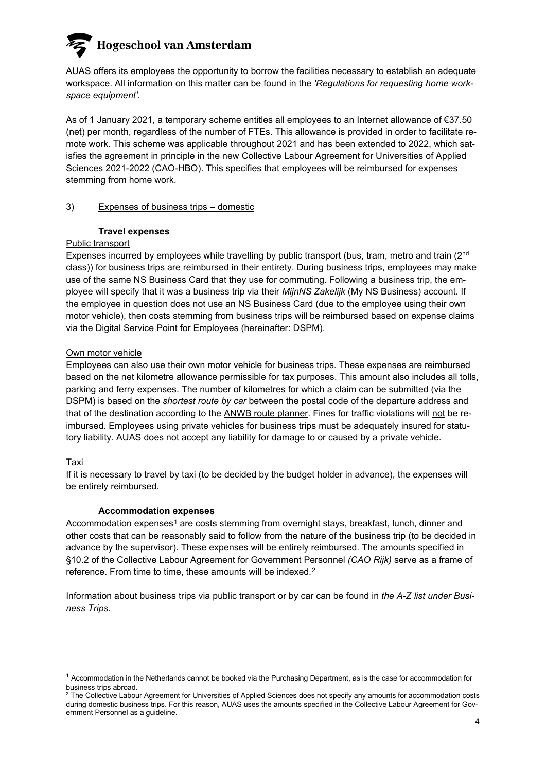### **Hogeschool van Amsterdam**

AUAS offers its employees the opportunity to borrow the facilities necessary to establish an adequate workspace. All information on this matter can be found in the *'Regulations for requesting home workspace equipment'.*

As of 1 January 2021, a temporary scheme entitles all employees to an Internet allowance of €37.50 (net) per month, regardless of the number of FTEs. This allowance is provided in order to facilitate remote work. This scheme was applicable throughout 2021 and has been extended to 2022, which satisfies the agreement in principle in the new Collective Labour Agreement for Universities of Applied Sciences 2021-2022 (CAO-HBO). This specifies that employees will be reimbursed for expenses stemming from home work.

#### 3) Expenses of business trips – domestic

#### **Travel expenses**

#### Public transport

Expenses incurred by employees while travelling by public transport (bus, tram, metro and train (2<sup>nd</sup>) class)) for business trips are reimbursed in their entirety. During business trips, employees may make use of the same NS Business Card that they use for commuting. Following a business trip, the employee will specify that it was a business trip via their *MijnNS Zakelijk* (My NS Business) account. If the employee in question does not use an NS Business Card (due to the employee using their own motor vehicle), then costs stemming from business trips will be reimbursed based on expense claims via the Digital Service Point for Employees (hereinafter: DSPM).

#### Own motor vehicle

Employees can also use their own motor vehicle for business trips. These expenses are reimbursed based on the net kilometre allowance permissible for tax purposes. This amount also includes all tolls, parking and ferry expenses. The number of kilometres for which a claim can be submitted (via the DSPM) is based on the *shortest route by car* between the postal code of the departure address and that of the destination according to the [ANWB route planner.](https://www.anwb.nl/verkeer/routeplanner) Fines for traffic violations will not be reimbursed. Employees using private vehicles for business trips must be adequately insured for statutory liability. AUAS does not accept any liability for damage to or caused by a private vehicle.

#### Taxi

If it is necessary to travel by taxi (to be decided by the budget holder in advance), the expenses will be entirely reimbursed.

#### **Accommodation expenses**

Accommodation expenses<sup>[1](#page-3-0)</sup> are costs stemming from overnight stays, breakfast, lunch, dinner and other costs that can be reasonably said to follow from the nature of the business trip (to be decided in advance by the supervisor). These expenses will be entirely reimbursed. The amounts specified in §10.2 of the Collective Labour Agreement for Government Personnel *(CAO Rijk)* serve as a frame of reference. From time to time, these amounts will be indexed.[2](#page-3-1)

Information about business trips via public transport or by car can be found in *the A-Z list under Business Trips*.

<span id="page-3-0"></span><sup>&</sup>lt;sup>1</sup> Accommodation in the Netherlands cannot be booked via the Purchasing Department, as is the case for accommodation for business trips abroad.

<span id="page-3-1"></span><sup>&</sup>lt;sup>2</sup> The Collective Labour Agreement for Universities of Applied Sciences does not specify any amounts for accommodation costs during domestic business trips. For this reason, AUAS uses the amounts specified in the Collective Labour Agreement for Government Personnel as a guideline.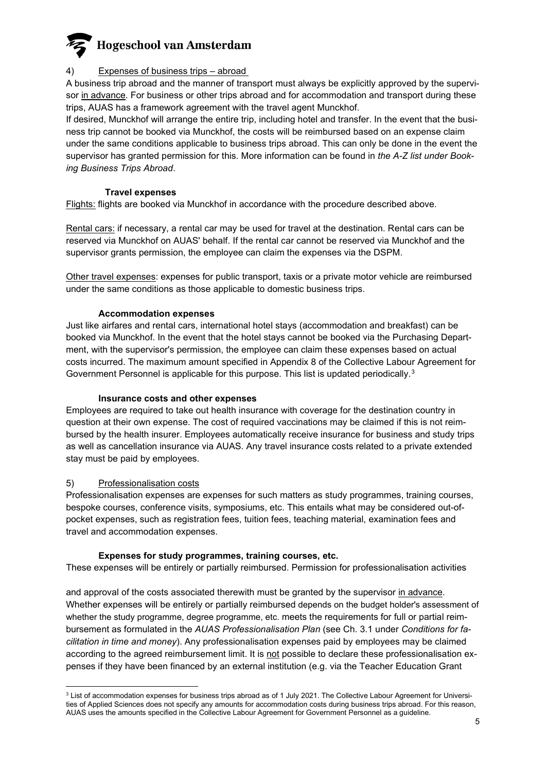

#### 4) Expenses of business trips – abroad

A business trip abroad and the manner of transport must always be explicitly approved by the supervisor in advance. For business or other trips abroad and for accommodation and transport during these trips, AUAS has a framework agreement with the travel agent Munckhof.

If desired, Munckhof will arrange the entire trip, including hotel and transfer. In the event that the business trip cannot be booked via Munckhof, the costs will be reimbursed based on an expense claim under the same conditions applicable to business trips abroad. This can only be done in the event the supervisor has granted permission for this. More information can be found in *the A-Z list under Booking Business Trips Abroad*.

#### **Travel expenses**

Flights: flights are booked via Munckhof in accordance with the procedure described above.

Rental cars: if necessary, a rental car may be used for travel at the destination. Rental cars can be reserved via Munckhof on AUAS' behalf. If the rental car cannot be reserved via Munckhof and the supervisor grants permission, the employee can claim the expenses via the DSPM.

Other travel expenses: expenses for public transport, taxis or a private motor vehicle are reimbursed under the same conditions as those applicable to domestic business trips.

#### **Accommodation expenses**

Just like airfares and rental cars, international hotel stays (accommodation and breakfast) can be booked via Munckhof. In the event that the hotel stays cannot be booked via the Purchasing Department, with the supervisor's permission, the employee can claim these expenses based on actual costs incurred. The maximum amount specified in Appendix 8 of the Collective Labour Agreement for Government Personnel is applicable for this purpose. This list is updated periodically.<sup>[3](#page-4-0)</sup>

#### **Insurance costs and other expenses**

Employees are required to take out health insurance with coverage for the destination country in question at their own expense. The cost of required vaccinations may be claimed if this is not reimbursed by the health insurer. Employees automatically receive insurance for business and study trips as well as cancellation insurance via AUAS. Any travel insurance costs related to a private extended stay must be paid by employees.

#### 5) Professionalisation costs

Professionalisation expenses are expenses for such matters as study programmes, training courses, bespoke courses, conference visits, symposiums, etc. This entails what may be considered out-ofpocket expenses, such as registration fees, tuition fees, teaching material, examination fees and travel and accommodation expenses.

#### **Expenses for study programmes, training courses, etc.**

These expenses will be entirely or partially reimbursed. Permission for professionalisation activities

and approval of the costs associated therewith must be granted by the supervisor in advance. Whether expenses will be entirely or partially reimbursed depends on the budget holder's assessment of whether the study programme, degree programme, etc. meets the requirements for full or partial reimbursement as formulated in the *AUAS Professionalisation Plan* (see Ch. 3.1 under *Conditions for facilitation in time and money*). Any professionalisation expenses paid by employees may be claimed according to the agreed reimbursement limit. It is not possible to declare these professionalisation expenses if they have been financed by an external institution (e.g. via the Teacher Education Grant

<span id="page-4-0"></span><sup>&</sup>lt;sup>3</sup> List of accommodation expenses for business trips abroad as of 1 July 2021. The Collective Labour Agreement for Universities of Applied Sciences does not specify any amounts for accommodation costs during business trips abroad. For this reason, AUAS uses the amounts specified in the Collective Labour Agreement for Government Personnel as a guideline.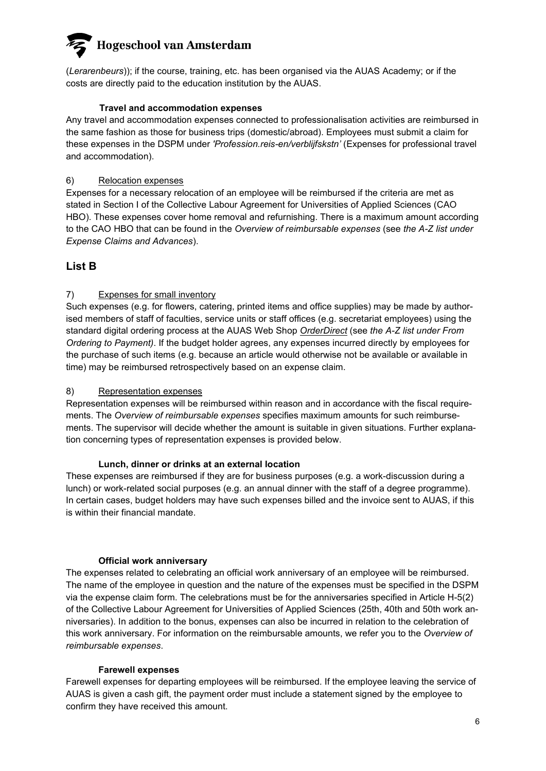## **Hogeschool van Amsterdam**

(*Lerarenbeurs*)); if the course, training, etc. has been organised via the AUAS Academy; or if the costs are directly paid to the education institution by the AUAS.

#### **Travel and accommodation expenses**

Any travel and accommodation expenses connected to professionalisation activities are reimbursed in the same fashion as those for business trips (domestic/abroad). Employees must submit a claim for these expenses in the DSPM under *'Profession.reis-en/verblijfskstn'* (Expenses for professional travel and accommodation).

#### 6) Relocation expenses

Expenses for a necessary relocation of an employee will be reimbursed if the criteria are met as stated in Section I of the Collective Labour Agreement for Universities of Applied Sciences (CAO HBO). These expenses cover home removal and refurnishing. There is a maximum amount according to the CAO HBO that can be found in the *Overview of reimbursable expenses* (see *the A-Z list under Expense Claims and Advances*).

#### **List B**

#### 7) Expenses for small inventory

Such expenses (e.g. for flowers, catering, printed items and office supplies) may be made by authorised members of staff of faculties, service units or staff offices (e.g. secretariat employees) using the standard digital ordering process at the AUAS Web Shop *OrderDirect* (see *the A-Z list under From Ordering to Payment)*. If the budget holder agrees, any expenses incurred directly by employees for the purchase of such items (e.g. because an article would otherwise not be available or available in time) may be reimbursed retrospectively based on an expense claim.

#### 8) Representation expenses

Representation expenses will be reimbursed within reason and in accordance with the fiscal requirements. The *Overview of reimbursable expenses* specifies maximum amounts for such reimbursements. The supervisor will decide whether the amount is suitable in given situations. Further explanation concerning types of representation expenses is provided below.

#### **Lunch, dinner or drinks at an external location**

These expenses are reimbursed if they are for business purposes (e.g. a work-discussion during a lunch) or work-related social purposes (e.g. an annual dinner with the staff of a degree programme). In certain cases, budget holders may have such expenses billed and the invoice sent to AUAS, if this is within their financial mandate.

#### **Official work anniversary**

The expenses related to celebrating an official work anniversary of an employee will be reimbursed. The name of the employee in question and the nature of the expenses must be specified in the DSPM via the expense claim form. The celebrations must be for the anniversaries specified in Article H-5(2) of the Collective Labour Agreement for Universities of Applied Sciences (25th, 40th and 50th work anniversaries). In addition to the bonus, expenses can also be incurred in relation to the celebration of this work anniversary. For information on the reimbursable amounts, we refer you to the *Overview of reimbursable expenses*.

#### **Farewell expenses**

Farewell expenses for departing employees will be reimbursed. If the employee leaving the service of AUAS is given a cash gift, the payment order must include a statement signed by the employee to confirm they have received this amount.